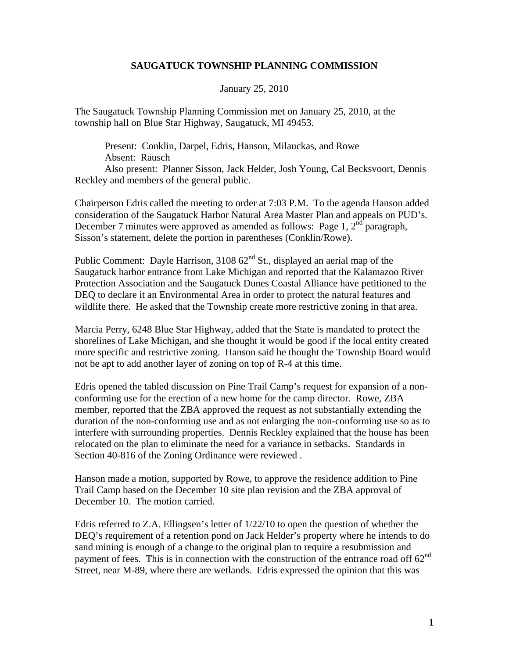## **SAUGATUCK TOWNSHIP PLANNING COMMISSION**

January 25, 2010

The Saugatuck Township Planning Commission met on January 25, 2010, at the township hall on Blue Star Highway, Saugatuck, MI 49453.

 Present: Conklin, Darpel, Edris, Hanson, Milauckas, and Rowe Absent: Rausch

 Also present: Planner Sisson, Jack Helder, Josh Young, Cal Becksvoort, Dennis Reckley and members of the general public.

Chairperson Edris called the meeting to order at 7:03 P.M. To the agenda Hanson added consideration of the Saugatuck Harbor Natural Area Master Plan and appeals on PUD's. December 7 minutes were approved as amended as follows: Page 1,  $2<sup>nd</sup>$  paragraph, Sisson's statement, delete the portion in parentheses (Conklin/Rowe).

Public Comment: Dayle Harrison,  $310862<sup>nd</sup>$  St., displayed an aerial map of the Saugatuck harbor entrance from Lake Michigan and reported that the Kalamazoo River Protection Association and the Saugatuck Dunes Coastal Alliance have petitioned to the DEQ to declare it an Environmental Area in order to protect the natural features and wildlife there. He asked that the Township create more restrictive zoning in that area.

Marcia Perry, 6248 Blue Star Highway, added that the State is mandated to protect the shorelines of Lake Michigan, and she thought it would be good if the local entity created more specific and restrictive zoning. Hanson said he thought the Township Board would not be apt to add another layer of zoning on top of R-4 at this time.

Edris opened the tabled discussion on Pine Trail Camp's request for expansion of a nonconforming use for the erection of a new home for the camp director. Rowe, ZBA member, reported that the ZBA approved the request as not substantially extending the duration of the non-conforming use and as not enlarging the non-conforming use so as to interfere with surrounding properties. Dennis Reckley explained that the house has been relocated on the plan to eliminate the need for a variance in setbacks. Standards in Section 40-816 of the Zoning Ordinance were reviewed .

Hanson made a motion, supported by Rowe, to approve the residence addition to Pine Trail Camp based on the December 10 site plan revision and the ZBA approval of December 10. The motion carried.

Edris referred to Z.A. Ellingsen's letter of 1/22/10 to open the question of whether the DEQ's requirement of a retention pond on Jack Helder's property where he intends to do sand mining is enough of a change to the original plan to require a resubmission and payment of fees. This is in connection with the construction of the entrance road off  $62<sup>nd</sup>$ Street, near M-89, where there are wetlands. Edris expressed the opinion that this was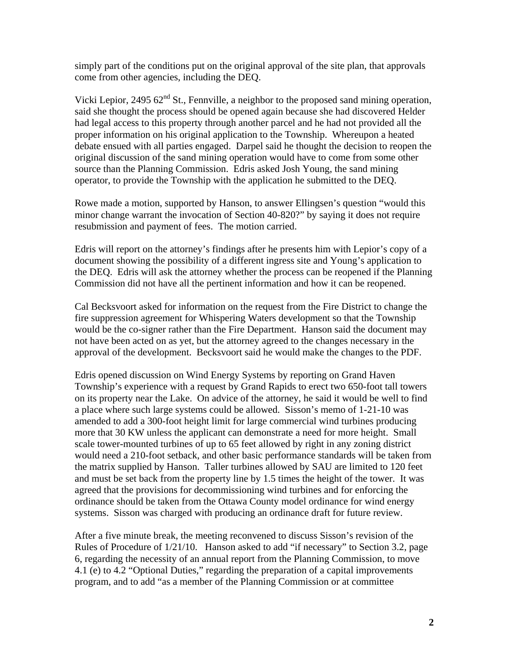simply part of the conditions put on the original approval of the site plan, that approvals come from other agencies, including the DEQ.

Vicki Lepior, 2495  $62<sup>nd</sup>$  St., Fennville, a neighbor to the proposed sand mining operation, said she thought the process should be opened again because she had discovered Helder had legal access to this property through another parcel and he had not provided all the proper information on his original application to the Township. Whereupon a heated debate ensued with all parties engaged. Darpel said he thought the decision to reopen the original discussion of the sand mining operation would have to come from some other source than the Planning Commission. Edris asked Josh Young, the sand mining operator, to provide the Township with the application he submitted to the DEQ.

Rowe made a motion, supported by Hanson, to answer Ellingsen's question "would this minor change warrant the invocation of Section 40-820?" by saying it does not require resubmission and payment of fees. The motion carried.

Edris will report on the attorney's findings after he presents him with Lepior's copy of a document showing the possibility of a different ingress site and Young's application to the DEQ. Edris will ask the attorney whether the process can be reopened if the Planning Commission did not have all the pertinent information and how it can be reopened.

Cal Becksvoort asked for information on the request from the Fire District to change the fire suppression agreement for Whispering Waters development so that the Township would be the co-signer rather than the Fire Department. Hanson said the document may not have been acted on as yet, but the attorney agreed to the changes necessary in the approval of the development. Becksvoort said he would make the changes to the PDF.

Edris opened discussion on Wind Energy Systems by reporting on Grand Haven Township's experience with a request by Grand Rapids to erect two 650-foot tall towers on its property near the Lake. On advice of the attorney, he said it would be well to find a place where such large systems could be allowed. Sisson's memo of 1-21-10 was amended to add a 300-foot height limit for large commercial wind turbines producing more that 30 KW unless the applicant can demonstrate a need for more height. Small scale tower-mounted turbines of up to 65 feet allowed by right in any zoning district would need a 210-foot setback, and other basic performance standards will be taken from the matrix supplied by Hanson. Taller turbines allowed by SAU are limited to 120 feet and must be set back from the property line by 1.5 times the height of the tower. It was agreed that the provisions for decommissioning wind turbines and for enforcing the ordinance should be taken from the Ottawa County model ordinance for wind energy systems. Sisson was charged with producing an ordinance draft for future review.

After a five minute break, the meeting reconvened to discuss Sisson's revision of the Rules of Procedure of 1/21/10. Hanson asked to add "if necessary" to Section 3.2, page 6, regarding the necessity of an annual report from the Planning Commission, to move 4.1 (e) to 4.2 "Optional Duties," regarding the preparation of a capital improvements program, and to add "as a member of the Planning Commission or at committee